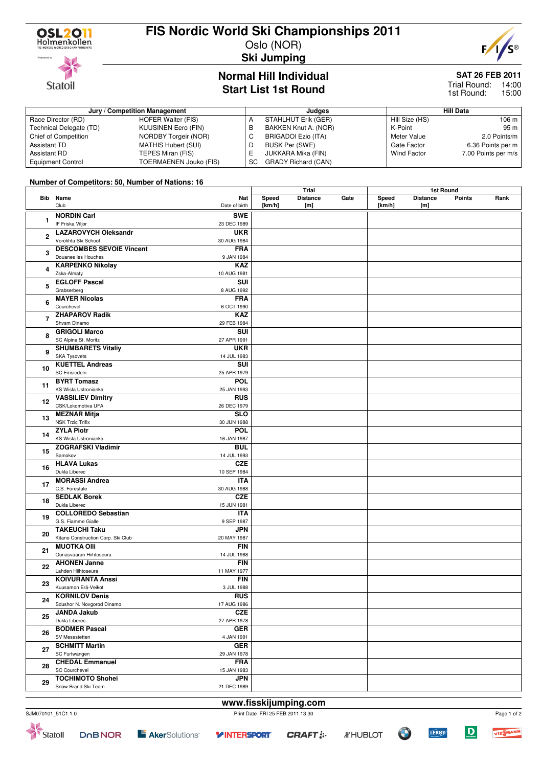

**Statoil** 

## **FIS Nordic World Ski Championships 2011**

Oslo (NOR) **Ski Jumping**



### **Normal Hill Individual Start List 1st Round**

## **SAT 26 FEB 2011**

Trial Round: 14:00 15:00 1st Round:

| Jury / Competition Management |                               |    | Judges                     | <b>Hill Data</b>   |                     |  |
|-------------------------------|-------------------------------|----|----------------------------|--------------------|---------------------|--|
| Race Director (RD)            | HOFER Walter (FIS)            |    | STAHLHUT Erik (GER)        | Hill Size (HS)     | 106 m               |  |
| Technical Delegate (TD)       | KUUSINEN Eero (FIN)           | в  | BAKKEN Knut A. (NOR)       | K-Point            | 95 m                |  |
| Chief of Competition          | <b>NORDBY Torgeir (NOR)</b>   | U  | BRIGADOI Ezio (ITA)        | Meter Value        | 2.0 Points/m        |  |
| Assistant TD                  | <b>MATHIS Hubert (SUI)</b>    | D  | BUSK Per (SWE)             | Gate Factor        | 6.36 Points per m   |  |
| <b>Assistant RD</b>           | TEPES Miran (FIS)             |    | JUKKARA Mika (FIN)         | <b>Wind Factor</b> | 7.00 Points per m/s |  |
| <b>Equipment Control</b>      | <b>TOERMAENEN Jouko (FIS)</b> | SC | <b>GRADY Richard (CAN)</b> |                    |                     |  |

#### **Number of Competitors: 50, Number of Nations: 16**

|    |                                    | Trial         |        |                 | 1st Round |        |                 |               |      |  |
|----|------------------------------------|---------------|--------|-----------------|-----------|--------|-----------------|---------------|------|--|
|    | <b>Bib</b> Name                    | <b>Nat</b>    | Speed  | <b>Distance</b> | Gate      | Speed  | <b>Distance</b> | <b>Points</b> | Rank |  |
|    | Club                               | Date of birth | [km/h] | [m]             |           | [km/h] |                 |               |      |  |
|    |                                    |               |        |                 |           |        | [m]             |               |      |  |
|    | <b>NORDIN Carl</b>                 | <b>SWE</b>    |        |                 |           |        |                 |               |      |  |
| 1  | IF Friska Viljor                   | 23 DEC 1989   |        |                 |           |        |                 |               |      |  |
|    | <b>LAZAROVYCH Oleksandr</b>        | <b>UKR</b>    |        |                 |           |        |                 |               |      |  |
| 2  |                                    |               |        |                 |           |        |                 |               |      |  |
|    | Vorokhta Ski School                | 30 AUG 1984   |        |                 |           |        |                 |               |      |  |
| 3  | <b>DESCOMBES SEVOIE Vincent</b>    | <b>FRA</b>    |        |                 |           |        |                 |               |      |  |
|    | Douanes les Houches                | 9 JAN 1984    |        |                 |           |        |                 |               |      |  |
|    | <b>KARPENKO Nikolay</b>            | <b>KAZ</b>    |        |                 |           |        |                 |               |      |  |
| 4  | Zska-Almaty                        | 10 AUG 1981   |        |                 |           |        |                 |               |      |  |
| 5  |                                    |               |        |                 |           |        |                 |               |      |  |
|    | <b>EGLOFF Pascal</b>               | SUI           |        |                 |           |        |                 |               |      |  |
|    | Grabserberg                        | 8 AUG 1992    |        |                 |           |        |                 |               |      |  |
|    | <b>MAYER Nicolas</b>               | <b>FRA</b>    |        |                 |           |        |                 |               |      |  |
| 6  | Courchevel                         | 6 OCT 1990    |        |                 |           |        |                 |               |      |  |
|    | <b>ZHAPAROV Radik</b>              | <b>KAZ</b>    |        |                 |           |        |                 |               |      |  |
| 7  | Shvsm Dinamo                       |               |        |                 |           |        |                 |               |      |  |
|    |                                    | 29 FEB 1984   |        |                 |           |        |                 |               |      |  |
| 8  | <b>GRIGOLI Marco</b>               | SUI           |        |                 |           |        |                 |               |      |  |
|    | SC Alpina St. Moritz               | 27 APR 1991   |        |                 |           |        |                 |               |      |  |
|    | <b>SHUMBARETS Vitaliy</b>          | <b>UKR</b>    |        |                 |           |        |                 |               |      |  |
| 9  | <b>SKA Tysovets</b>                | 14 JUL 1983   |        |                 |           |        |                 |               |      |  |
|    |                                    |               |        |                 |           |        |                 |               |      |  |
| 10 | <b>KUETTEL Andreas</b>             | SUI           |        |                 |           |        |                 |               |      |  |
|    | <b>SC Einsiedeln</b>               | 25 APR 1979   |        |                 |           |        |                 |               |      |  |
| 11 | <b>BYRT Tomasz</b>                 | <b>POL</b>    |        |                 |           |        |                 |               |      |  |
|    | <b>KS Wisla Ustronianka</b>        | 25 JAN 1993   |        |                 |           |        |                 |               |      |  |
|    | <b>VASSILIEV Dimitry</b>           | <b>RUS</b>    |        |                 |           |        |                 |               |      |  |
| 12 | CSK/Lokomotiva UFA                 | 26 DEC 1979   |        |                 |           |        |                 |               |      |  |
|    |                                    |               |        |                 |           |        |                 |               |      |  |
| 13 | <b>MEZNAR Mitja</b>                | <b>SLO</b>    |        |                 |           |        |                 |               |      |  |
|    | <b>NSK Trzic Trifix</b>            | 30 JUN 1988   |        |                 |           |        |                 |               |      |  |
|    | <b>ZYLA Piotr</b>                  | <b>POL</b>    |        |                 |           |        |                 |               |      |  |
| 14 | KS Wisla Ustronianka               | 16 JAN 1987   |        |                 |           |        |                 |               |      |  |
|    | <b>ZOGRAFSKI Vladimir</b>          | <b>BUL</b>    |        |                 |           |        |                 |               |      |  |
| 15 | Samokov                            | 14 JUL 1993   |        |                 |           |        |                 |               |      |  |
|    |                                    |               |        |                 |           |        |                 |               |      |  |
| 16 | <b>HLAVA Lukas</b>                 | CZE           |        |                 |           |        |                 |               |      |  |
|    | Dukla Liberec                      | 10 SEP 1984   |        |                 |           |        |                 |               |      |  |
|    | <b>MORASSI Andrea</b>              | <b>ITA</b>    |        |                 |           |        |                 |               |      |  |
| 17 | C.S. Forestale                     | 30 AUG 1988   |        |                 |           |        |                 |               |      |  |
|    | <b>SEDLAK Borek</b>                | <b>CZE</b>    |        |                 |           |        |                 |               |      |  |
| 18 | Dukla Liberec                      | 15 JUN 1981   |        |                 |           |        |                 |               |      |  |
|    |                                    |               |        |                 |           |        |                 |               |      |  |
| 19 | <b>COLLOREDO Sebastian</b>         | <b>ITA</b>    |        |                 |           |        |                 |               |      |  |
|    | G.S. Fiamme Gialle                 | 9 SEP 1987    |        |                 |           |        |                 |               |      |  |
|    | <b>TAKEUCHI Taku</b>               | <b>JPN</b>    |        |                 |           |        |                 |               |      |  |
| 20 | Kitano Construction Corp. Ski Club | 20 MAY 1987   |        |                 |           |        |                 |               |      |  |
|    | <b>MUOTKA OIII</b>                 | <b>FIN</b>    |        |                 |           |        |                 |               |      |  |
| 21 | Ounasvaaran Hiihtoseura            | 14 JUL 1988   |        |                 |           |        |                 |               |      |  |
|    |                                    |               |        |                 |           |        |                 |               |      |  |
| 22 | <b>AHONEN Janne</b>                | <b>FIN</b>    |        |                 |           |        |                 |               |      |  |
|    | Lahden Hiihtoseura                 | 11 MAY 1977   |        |                 |           |        |                 |               |      |  |
|    | <b>KOIVURANTA Anssi</b>            | <b>FIN</b>    |        |                 |           |        |                 |               |      |  |
| 23 | Kuusamon Erä-Veikot                | 3 JUL 1988    |        |                 |           |        |                 |               |      |  |
|    | <b>KORNILOV Denis</b>              | RUS           |        |                 |           |        |                 |               |      |  |
| 24 |                                    |               |        |                 |           |        |                 |               |      |  |
| 25 | Sdushor N. Novgorod Dinamo         | 17 AUG 1986   |        |                 |           |        |                 |               |      |  |
|    | <b>JANDA Jakub</b>                 | <b>CZE</b>    |        |                 |           |        |                 |               |      |  |
|    | Dukla Liberec                      | 27 APR 1978   |        |                 |           |        |                 |               |      |  |
|    | <b>BODMER Pascal</b>               | <b>GER</b>    |        |                 |           |        |                 |               |      |  |
| 26 | SV Messstetten                     | 4 JAN 1991    |        |                 |           |        |                 |               |      |  |
|    |                                    |               |        |                 |           |        |                 |               |      |  |
| 27 | <b>SCHMITT Martin</b>              | <b>GER</b>    |        |                 |           |        |                 |               |      |  |
|    | SC Furtwangen                      | 29 JAN 1978   |        |                 |           |        |                 |               |      |  |
| 28 | <b>CHEDAL Emmanuel</b>             | <b>FRA</b>    |        |                 |           |        |                 |               |      |  |
|    | <b>SC Courchevel</b>               | 15 JAN 1983   |        |                 |           |        |                 |               |      |  |
|    | <b>TOCHIMOTO Shohei</b>            | <b>JPN</b>    |        |                 |           |        |                 |               |      |  |
| 29 | Snow Brand Ski Team                | 21 DEC 1989   |        |                 |           |        |                 |               |      |  |
|    |                                    |               |        |                 |           |        |                 |               |      |  |





 $\overline{D}$ 

**LERØY**